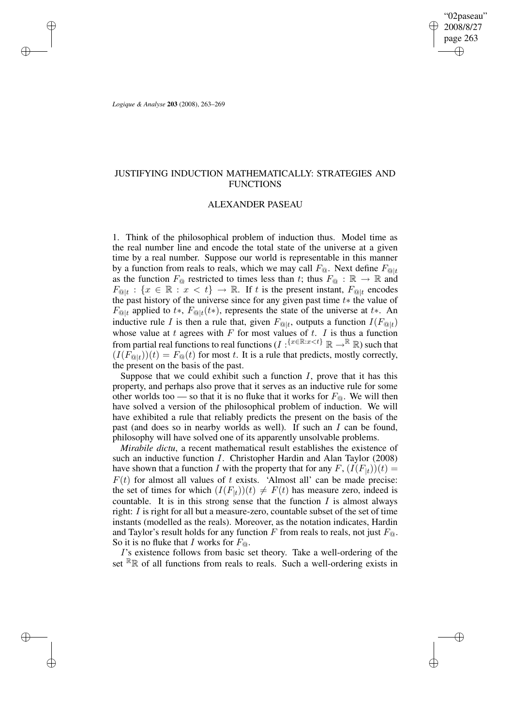"02paseau" 2008/8/27 page 263 ✐ ✐

✐

✐

*Logique & Analyse* **203** (2008), 263–269

✐

✐

✐

✐

# JUSTIFYING INDUCTION MATHEMATICALLY: STRATEGIES AND **FUNCTIONS**

### ALEXANDER PASEAU

1. Think of the philosophical problem of induction thus. Model time as the real number line and encode the total state of the universe at a given time by a real number. Suppose our world is representable in this manner by a function from reals to reals, which we may call  $F_{\text{Q}}$ . Next define  $F_{\text{Q}|t}$ as the function  $F_{\mathbb{Q}}$  restricted to times less than t; thus  $F_{\mathbb{Q}} : \mathbb{R} \to \mathbb{R}$  and  $F_{\mathfrak{D}|t}$  :  $\{x \in \mathbb{R} : x < t\} \to \mathbb{R}$ . If t is the present instant,  $F_{\mathfrak{D}|t}$  encodes the past history of the universe since for any given past time  $t*$  the value of  $F_{\text{Q}|t}$  applied to  $t$ \*,  $F_{\text{Q}|t}(t)$ , represents the state of the universe at  $t$ \*. An inductive rule I is then a rule that, given  $F_{\mathcal{Q}|t}$ , outputs a function  $I(F_{\mathcal{Q}|t})$ whose value at  $t$  agrees with  $F$  for most values of  $t$ .  $I$  is thus a function from partial real functions to real functions  $(I : \{x \in \mathbb{R}: x \le t\} \mathbb{R} \to \mathbb{R} \mathbb{R}$  such that  $(I(F_{\mathbb{Q}|t})(t) = F_{\mathbb{Q}}(t)$  for most t. It is a rule that predicts, mostly correctly, the present on the basis of the past.

Suppose that we could exhibit such a function  $I$ , prove that it has this property, and perhaps also prove that it serves as an inductive rule for some other worlds too — so that it is no fluke that it works for  $F_{\odot}$ . We will then have solved a version of the philosophical problem of induction. We will have exhibited a rule that reliably predicts the present on the basis of the past (and does so in nearby worlds as well). If such an I can be found, philosophy will have solved one of its apparently unsolvable problems.

*Mirabile dictu*, a recent mathematical result establishes the existence of such an inductive function I. Christopher Hardin and Alan Taylor (2008) have shown that a function I with the property that for any  $F$ ,  $(I(F<sub>|t</sub>))(t) =$  $F(t)$  for almost all values of t exists. 'Almost all' can be made precise: the set of times for which  $(I(F_{|t}))(t) \neq F(t)$  has measure zero, indeed is countable. It is in this strong sense that the function  $I$  is almost always right: I is right for all but a measure-zero, countable subset of the set of time instants (modelled as the reals). Moreover, as the notation indicates, Hardin and Taylor's result holds for any function F from reals to reals, not just  $F_{\odot}$ . So it is no fluke that I works for  $F_{\odot}$ .

I's existence follows from basic set theory. Take a well-ordering of the set  $\mathbb{R}$ R of all functions from reals to reals. Such a well-ordering exists in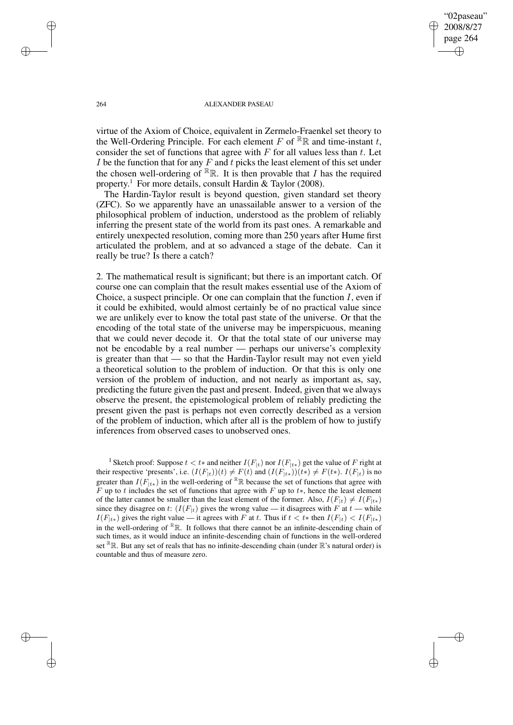"02paseau" 2008/8/27 page 264 ✐ ✐

✐

✐

#### 264 ALEXANDER PASEAU

virtue of the Axiom of Choice, equivalent in Zermelo-Fraenkel set theory to the Well-Ordering Principle. For each element F of  $\mathbb{R}$  and time-instant t, consider the set of functions that agree with  $F$  for all values less than  $t$ . Let I be the function that for any  $F$  and  $t$  picks the least element of this set under the chosen well-ordering of  $\mathbb{R}_R$ . It is then provable that I has the required property.<sup>1</sup> For more details, consult Hardin & Taylor (2008).

The Hardin-Taylor result is beyond question, given standard set theory (ZFC). So we apparently have an unassailable answer to a version of the philosophical problem of induction, understood as the problem of reliably inferring the present state of the world from its past ones. A remarkable and entirely unexpected resolution, coming more than 250 years after Hume first articulated the problem, and at so advanced a stage of the debate. Can it really be true? Is there a catch?

2. The mathematical result is significant; but there is an important catch. Of course one can complain that the result makes essential use of the Axiom of Choice, a suspect principle. Or one can complain that the function  $I$ , even if it could be exhibited, would almost certainly be of no practical value since we are unlikely ever to know the total past state of the universe. Or that the encoding of the total state of the universe may be imperspicuous, meaning that we could never decode it. Or that the total state of our universe may not be encodable by a real number — perhaps our universe's complexity is greater than that — so that the Hardin-Taylor result may not even yield a theoretical solution to the problem of induction. Or that this is only one version of the problem of induction, and not nearly as important as, say, predicting the future given the past and present. Indeed, given that we always observe the present, the epistemological problem of reliably predicting the present given the past is perhaps not even correctly described as a version of the problem of induction, which after all is the problem of how to justify inferences from observed cases to unobserved ones.

<sup>1</sup> Sketch proof: Suppose  $t < t^*$  and neither  $I(F_{|t})$  nor  $I(F_{|t^*})$  get the value of F right at their respective 'presents', i.e.  $(I(F_{|t|}))(t) \neq F(t)$  and  $(I(F_{|t*}))(t*) \neq F(t*)$ .  $I(F_{|t})$  is no greater than  $I(F_{t*})$  in the well-ordering of RR because the set of functions that agree with F up to t includes the set of functions that agree with F up to t\*, hence the least element of the latter cannot be smaller than the least element of the former. Also,  $I(F_{|t}) \neq I(F_{|t*})$ since they disagree on t:  $(I(F_{|t})$  gives the wrong value — it disagrees with F at t — while  $I(F_{|t*})$  gives the right value — it agrees with F at t. Thus if  $t < t*$  then  $I(F_{|t}) < I(F_{|t*})$ in the well-ordering of  $\mathbb{R}_R$ . It follows that there cannot be an infinite-descending chain of such times, as it would induce an infinite-descending chain of functions in the well-ordered set  $\mathbb{R}$ . But any set of reals that has no infinite-descending chain (under  $\mathbb{R}$ 's natural order) is countable and thus of measure zero.

✐

✐

✐

✐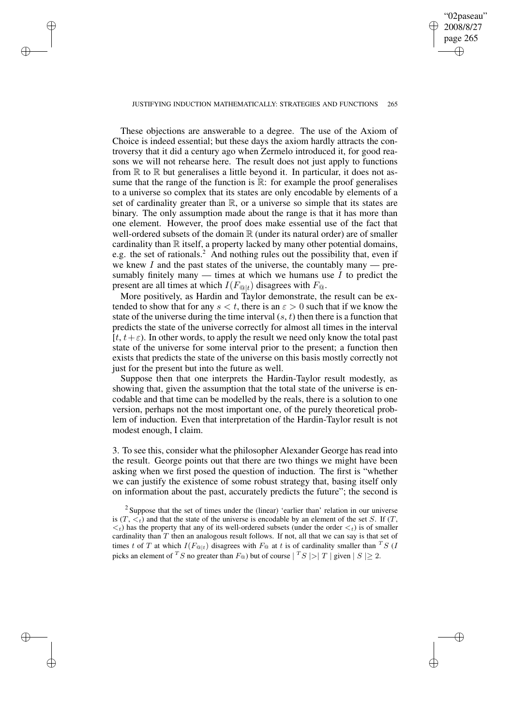## "02paseau" 2008/8/27 page 265 ✐ ✐

✐

✐

#### JUSTIFYING INDUCTION MATHEMATICALLY: STRATEGIES AND FUNCTIONS 265

✐

✐

✐

✐

These objections are answerable to a degree. The use of the Axiom of Choice is indeed essential; but these days the axiom hardly attracts the controversy that it did a century ago when Zermelo introduced it, for good reasons we will not rehearse here. The result does not just apply to functions from  $\mathbb R$  to  $\mathbb R$  but generalises a little beyond it. In particular, it does not assume that the range of the function is  $\mathbb{R}$ : for example the proof generalises to a universe so complex that its states are only encodable by elements of a set of cardinality greater than  $\mathbb{R}$ , or a universe so simple that its states are binary. The only assumption made about the range is that it has more than one element. However, the proof does make essential use of the fact that well-ordered subsets of the domain  $\mathbb R$  (under its natural order) are of smaller cardinality than  $\mathbb R$  itself, a property lacked by many other potential domains, e.g. the set of rationals.<sup>2</sup> And nothing rules out the possibility that, even if we knew  $I$  and the past states of the universe, the countably many — presumably finitely many — times at which we humans use  $I$  to predict the present are all times at which  $I(F_{@|t})$  disagrees with  $F_{@}$ .

More positively, as Hardin and Taylor demonstrate, the result can be extended to show that for any  $s < t$ , there is an  $\varepsilon > 0$  such that if we know the state of the universe during the time interval  $(s, t)$  then there is a function that predicts the state of the universe correctly for almost all times in the interval [ $t, t + \varepsilon$ ]. In other words, to apply the result we need only know the total past state of the universe for some interval prior to the present; a function then exists that predicts the state of the universe on this basis mostly correctly not just for the present but into the future as well.

Suppose then that one interprets the Hardin-Taylor result modestly, as showing that, given the assumption that the total state of the universe is encodable and that time can be modelled by the reals, there is a solution to one version, perhaps not the most important one, of the purely theoretical problem of induction. Even that interpretation of the Hardin-Taylor result is not modest enough, I claim.

3. To see this, consider what the philosopher Alexander George has read into the result. George points out that there are two things we might have been asking when we first posed the question of induction. The first is "whether we can justify the existence of some robust strategy that, basing itself only on information about the past, accurately predicts the future"; the second is

<sup>&</sup>lt;sup>2</sup> Suppose that the set of times under the (linear) 'earlier than' relation in our universe is  $(T, \langle t \rangle)$  and that the state of the universe is encodable by an element of the set S. If  $(T, \langle t \rangle)$  $\langle t \rangle$  has the property that any of its well-ordered subsets (under the order  $\langle t \rangle$  is of smaller cardinality than  $T$  then an analogous result follows. If not, all that we can say is that set of times t of T at which  $I(F_{@|t})$  disagrees with  $F_{@}$  at t is of cardinality smaller than <sup>T</sup>S (I picks an element of <sup>T</sup>S no greater than  $F_{\textcircled{a}}$ ) but of course  $|$ <sup>T</sup>S  $|>$  T  $|$  given  $|S| \ge 2$ .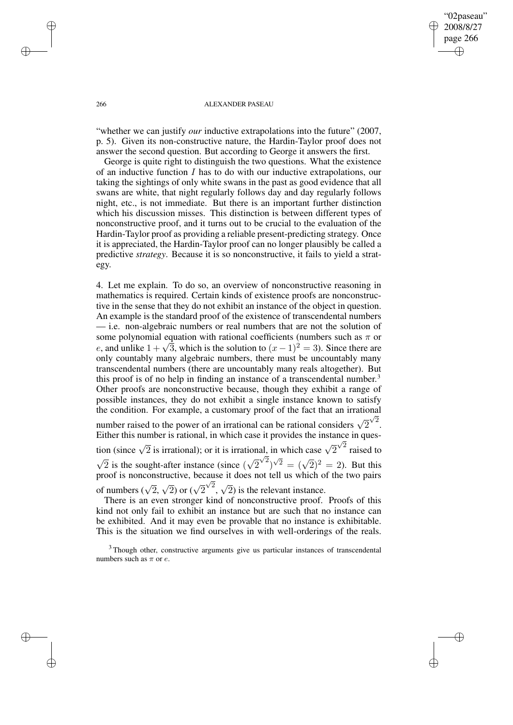"02paseau" 2008/8/27 page 266 ✐ ✐

✐

✐

#### 266 ALEXANDER PASEAU

"whether we can justify *our* inductive extrapolations into the future" (2007, p. 5). Given its non-constructive nature, the Hardin-Taylor proof does not answer the second question. But according to George it answers the first.

George is quite right to distinguish the two questions. What the existence of an inductive function I has to do with our inductive extrapolations, our taking the sightings of only white swans in the past as good evidence that all swans are white, that night regularly follows day and day regularly follows night, etc., is not immediate. But there is an important further distinction which his discussion misses. This distinction is between different types of nonconstructive proof, and it turns out to be crucial to the evaluation of the Hardin-Taylor proof as providing a reliable present-predicting strategy. Once it is appreciated, the Hardin-Taylor proof can no longer plausibly be called a predictive *strategy*. Because it is so nonconstructive, it fails to yield a strategy.

4. Let me explain. To do so, an overview of nonconstructive reasoning in mathematics is required. Certain kinds of existence proofs are nonconstructive in the sense that they do not exhibit an instance of the object in question. An example is the standard proof of the existence of transcendental numbers — i.e. non-algebraic numbers or real numbers that are not the solution of some polynomial equation with rational coefficients (numbers such as  $\pi$  or e, and unlike  $1 + \sqrt{3}$ , which is the solution to  $(x - 1)^2 = 3$ ). Since there are only countably many algebraic numbers, there must be uncountably many transcendental numbers (there are uncountably many reals altogether). But this proof is of no help in finding an instance of a transcendental number.<sup>3</sup> Other proofs are nonconstructive because, though they exhibit a range of possible instances, they do not exhibit a single instance known to satisfy the condition. For example, a customary proof of the fact that an irrational number raised to the power of an irrational can be rational considers  $\sqrt{2}$  $\sqrt{2}$ . Either this number is rational, in which case it provides the instance in question (since  $\sqrt{2}$  is irrational); or it is irrational, in which case  $\sqrt{2}$  $\sqrt{2}$  raised to

 $\sqrt{2}$  is the sought-after instance (since  $(\sqrt{2})$  $(\sqrt{2})^{\sqrt{2}} = (\sqrt{2})^2 = 2$ ). But this proof is nonconstructive, because it does not tell us which of the two pairs of numbers  $(\sqrt{2}, \sqrt{2})$  or  $(\sqrt{2})$  $\sqrt{2}$ ,  $\sqrt{2}$ ) is the relevant instance.

There is an even stronger kind of nonconstructive proof. Proofs of this kind not only fail to exhibit an instance but are such that no instance can be exhibited. And it may even be provable that no instance is exhibitable. This is the situation we find ourselves in with well-orderings of the reals.

✐

✐

✐

✐

<sup>&</sup>lt;sup>3</sup> Though other, constructive arguments give us particular instances of transcendental numbers such as  $\pi$  or *e*.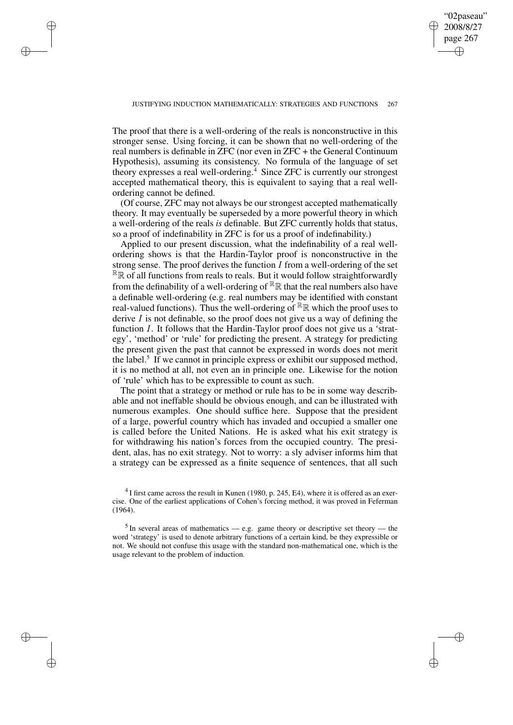"02paseau"

✐

✐

✐

✐

✐

✐

The proof that there is a well-ordering of the reals is nonconstructive in this stronger sense. Using forcing, it can be shown that no well-ordering of the real numbers is definable in ZFC (nor even in ZFC + the General Continuum Hypothesis), assuming its consistency. No formula of the language of set theory expresses a real well-ordering.<sup>4</sup> Since ZFC is currently our strongest accepted mathematical theory, this is equivalent to saying that a real wellordering cannot be defined.

(Of course, ZFC may not always be our strongest accepted mathematically theory. It may eventually be superseded by a more powerful theory in which a well-ordering of the reals *is* definable. But ZFC currently holds that status, so a proof of indefinability in ZFC is for us a proof of indefinability.)

Applied to our present discussion, what the indefinability of a real wellordering shows is that the Hardin-Taylor proof is nonconstructive in the strong sense. The proof derives the function  $I$  from a well-ordering of the set  $R\mathbb{R}$  of all functions from reals to reals. But it would follow straightforwardly from the definability of a well-ordering of  $\mathbb{R}\mathbb{R}$  that the real numbers also have a definable well-ordering (e.g. real numbers may be identified with constant real-valued functions). Thus the well-ordering of  $\mathbb{R}_R$  which the proof uses to derive  $I$  is not definable, so the proof does not give us a way of defining the function I. It follows that the Hardin-Taylor proof does not give us a 'strategy', 'method' or 'rule' for predicting the present. A strategy for predicting the present given the past that cannot be expressed in words does not merit the label.<sup>5</sup> If we cannot in principle express or exhibit our supposed method, it is no method at all, not even an in principle one. Likewise for the notion of 'rule' which has to be expressible to count as such.

The point that a strategy or method or rule has to be in some way describable and not ineffable should be obvious enough, and can be illustrated with numerous examples. One should suffice here. Suppose that the president of a large, powerful country which has invaded and occupied a smaller one is called before the United Nations. He is asked what his exit strategy is for withdrawing his nation's forces from the occupied country. The president, alas, has no exit strategy. Not to worry: a sly adviser informs him that a strategy can be expressed as a finite sequence of sentences, that all such

 $^{4}$ I first came across the result in Kunen (1980, p. 245, E4), where it is offered as an exercise. One of the earliest applications of Cohen's forcing method, it was proved in Feferman (1964).

 $<sup>5</sup>$  In several areas of mathematics — e.g. game theory or descriptive set theory — the</sup> word 'strategy' is used to denote arbitrary functions of a certain kind, be they expressible or not. We should not confuse this usage with the standard non-mathematical one, which is the usage relevant to the problem of induction.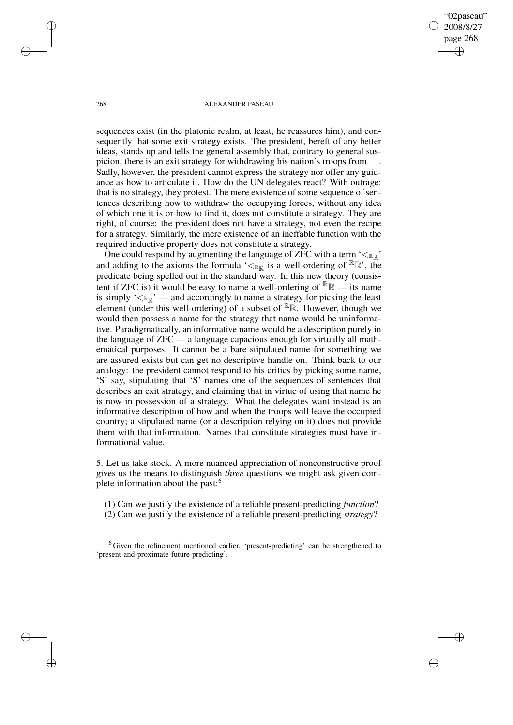"02paseau" 2008/8/27 page 268 ✐ ✐

✐

✐

#### 268 ALEXANDER PASEAU

sequences exist (in the platonic realm, at least, he reassures him), and consequently that some exit strategy exists. The president, bereft of any better ideas, stands up and tells the general assembly that, contrary to general suspicion, there is an exit strategy for withdrawing his nation's troops from . Sadly, however, the president cannot express the strategy nor offer any guidance as how to articulate it. How do the UN delegates react? With outrage: that is no strategy, they protest. The mere existence of some sequence of sentences describing how to withdraw the occupying forces, without any idea of which one it is or how to find it, does not constitute a strategy. They are right, of course: the president does not have a strategy, not even the recipe for a strategy. Similarly, the mere existence of an ineffable function with the required inductive property does not constitute a strategy.

One could respond by augmenting the language of ZFC with a term  $\leq_{\mathbb{R}}$ and adding to the axioms the formula ' $\lt_{\mathbb{R}}$  is a well-ordering of  $\mathbb{R}}$ '', the predicate being spelled out in the standard way. In this new theory (consistent if ZFC is) it would be easy to name a well-ordering of  $\mathbb{R}\mathbb{R}$  — its name is simply  $\leq_{\mathbb{R}}$  – and accordingly to name a strategy for picking the least element (under this well-ordering) of a subset of  $\mathbb{R}_{\mathbb{R}}$ . However, though we would then possess a name for the strategy that name would be uninformative. Paradigmatically, an informative name would be a description purely in the language of ZFC — a language capacious enough for virtually all mathematical purposes. It cannot be a bare stipulated name for something we are assured exists but can get no descriptive handle on. Think back to our analogy: the president cannot respond to his critics by picking some name, 'S' say, stipulating that 'S' names one of the sequences of sentences that describes an exit strategy, and claiming that in virtue of using that name he is now in possession of a strategy. What the delegates want instead is an informative description of how and when the troops will leave the occupied country; a stipulated name (or a description relying on it) does not provide them with that information. Names that constitute strategies must have informational value.

5. Let us take stock. A more nuanced appreciation of nonconstructive proof gives us the means to distinguish *three* questions we might ask given complete information about the past:<sup>6</sup>

(1) Can we justify the existence of a reliable present-predicting *function*? (2) Can we justify the existence of a reliable present-predicting *strategy*?

<sup>6</sup> Given the refinement mentioned earlier, 'present-predicting' can be strengthened to 'present-and-proximate-future-predicting'.

✐

✐

✐

✐